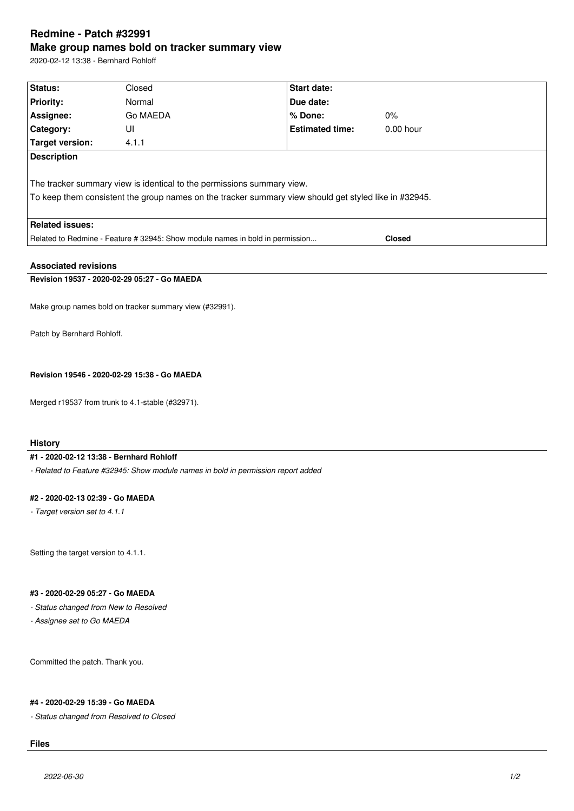# **Redmine - Patch #32991 Make group names bold on tracker summary view**

2020-02-12 13:38 - Bernhard Rohloff

| Status:                                                                                        | Closed                                                                 | Start date:                                                                                           |             |  |
|------------------------------------------------------------------------------------------------|------------------------------------------------------------------------|-------------------------------------------------------------------------------------------------------|-------------|--|
| <b>Priority:</b>                                                                               | Normal                                                                 | Due date:                                                                                             |             |  |
| Assignee:                                                                                      | Go MAEDA                                                               | % Done:                                                                                               | $0\%$       |  |
| <b>Category:</b>                                                                               | UI                                                                     | <b>Estimated time:</b>                                                                                | $0.00$ hour |  |
| Target version:                                                                                | 4.1.1                                                                  |                                                                                                       |             |  |
| <b>Description</b>                                                                             | The tracker summary view is identical to the permissions summary view. | To keep them consistent the group names on the tracker summary view should get styled like in #32945. |             |  |
|                                                                                                |                                                                        |                                                                                                       |             |  |
| <b>Related issues:</b>                                                                         |                                                                        |                                                                                                       |             |  |
| Related to Redmine - Feature # 32945: Show module names in bold in permission<br><b>Closed</b> |                                                                        |                                                                                                       |             |  |

## **Associated revisions**

## **Revision 19537 - 2020-02-29 05:27 - Go MAEDA**

Make group names bold on tracker summary view (#32991).

Patch by Bernhard Rohloff.

## **Revision 19546 - 2020-02-29 15:38 - Go MAEDA**

Merged r19537 from trunk to 4.1-stable (#32971).

#### **History**

## **#1 - 2020-02-12 13:38 - Bernhard Rohloff**

*- Related to Feature #32945: Show module names in bold in permission report added*

#### **#2 - 2020-02-13 02:39 - Go MAEDA**

*- Target version set to 4.1.1*

Setting the target version to 4.1.1.

#### **#3 - 2020-02-29 05:27 - Go MAEDA**

*- Status changed from New to Resolved*

*- Assignee set to Go MAEDA*

Committed the patch. Thank you.

### **#4 - 2020-02-29 15:39 - Go MAEDA**

*- Status changed from Resolved to Closed*

### **Files**